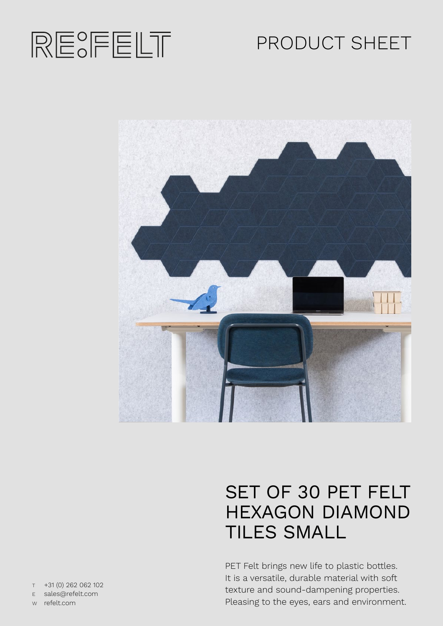

# PRODUCT SHEET



# SET OF 30 PET FELT HEXAGON DIAMOND TILES SMALL

PET Felt brings new life to plastic bottles. It is a versatile, durable material with soft texture and sound-dampening properties. Pleasing to the eyes, ears and environment.

T +31 (0) 262 062 102 E sales@refelt.com

W refelt.com